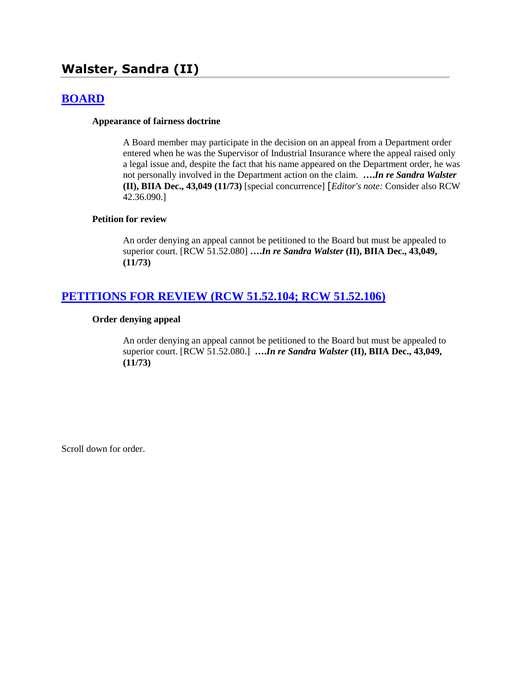# **Walster, Sandra (II)**

## **[BOARD](http://www.biia.wa.gov/SDSubjectIndex.html#BOARD)**

#### **Appearance of fairness doctrine**

A Board member may participate in the decision on an appeal from a Department order entered when he was the Supervisor of Industrial Insurance where the appeal raised only a legal issue and, despite the fact that his name appeared on the Department order, he was not personally involved in the Department action on the claim. **….***In re Sandra Walster* **(II), BIIA Dec., 43,049 (11/73)** [special concurrence] [*Editor's note:* Consider also RCW 42.36.090.]

#### **Petition for review**

An order denying an appeal cannot be petitioned to the Board but must be appealed to superior court. [RCW 51.52.080] **….***In re Sandra Walster* **(II), BIIA Dec., 43,049, (11/73)**

## **[PETITIONS FOR REVIEW \(RCW 51.52.104; RCW 51.52.106\)](http://www.biia.wa.gov/SDSubjectIndex.html#PETITIONS_FOR_REVIEW)**

#### **Order denying appeal**

An order denying an appeal cannot be petitioned to the Board but must be appealed to superior court. [RCW 51.52.080.] **….***In re Sandra Walster* **(II), BIIA Dec., 43,049, (11/73)**

Scroll down for order.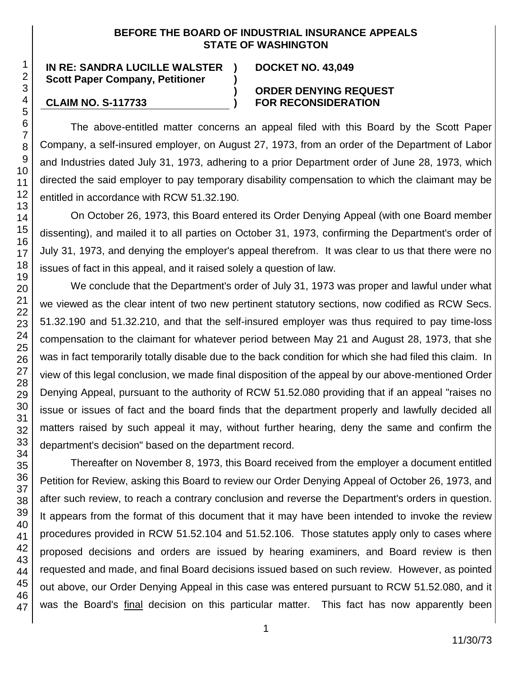### **BEFORE THE BOARD OF INDUSTRIAL INSURANCE APPEALS STATE OF WASHINGTON**

**)**

**IN RE: SANDRA LUCILLE WALSTER ) Scott Paper Company, Petitioner**

### **DOCKET NO. 43,049**

#### **) ORDER DENYING REQUEST CLAIM NO. S-117733 ) FOR RECONSIDERATION**

The above-entitled matter concerns an appeal filed with this Board by the Scott Paper Company, a self-insured employer, on August 27, 1973, from an order of the Department of Labor and Industries dated July 31, 1973, adhering to a prior Department order of June 28, 1973, which directed the said employer to pay temporary disability compensation to which the claimant may be entitled in accordance with RCW 51.32.190.

On October 26, 1973, this Board entered its Order Denying Appeal (with one Board member dissenting), and mailed it to all parties on October 31, 1973, confirming the Department's order of July 31, 1973, and denying the employer's appeal therefrom. It was clear to us that there were no issues of fact in this appeal, and it raised solely a question of law.

We conclude that the Department's order of July 31, 1973 was proper and lawful under what we viewed as the clear intent of two new pertinent statutory sections, now codified as RCW Secs. 51.32.190 and 51.32.210, and that the self-insured employer was thus required to pay time-loss compensation to the claimant for whatever period between May 21 and August 28, 1973, that she was in fact temporarily totally disable due to the back condition for which she had filed this claim. In view of this legal conclusion, we made final disposition of the appeal by our above-mentioned Order Denying Appeal, pursuant to the authority of RCW 51.52.080 providing that if an appeal "raises no issue or issues of fact and the board finds that the department properly and lawfully decided all matters raised by such appeal it may, without further hearing, deny the same and confirm the department's decision" based on the department record.

Thereafter on November 8, 1973, this Board received from the employer a document entitled Petition for Review, asking this Board to review our Order Denying Appeal of October 26, 1973, and after such review, to reach a contrary conclusion and reverse the Department's orders in question. It appears from the format of this document that it may have been intended to invoke the review procedures provided in RCW 51.52.104 and 51.52.106. Those statutes apply only to cases where proposed decisions and orders are issued by hearing examiners, and Board review is then requested and made, and final Board decisions issued based on such review. However, as pointed out above, our Order Denying Appeal in this case was entered pursuant to RCW 51.52.080, and it was the Board's final decision on this particular matter. This fact has now apparently been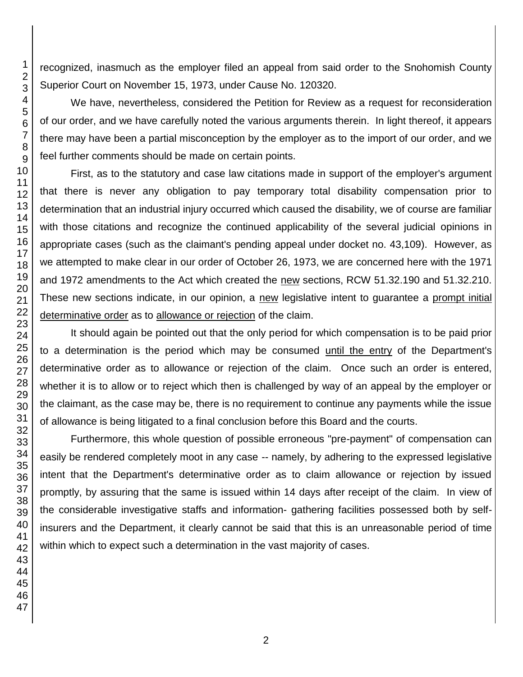recognized, inasmuch as the employer filed an appeal from said order to the Snohomish County Superior Court on November 15, 1973, under Cause No. 120320.

We have, nevertheless, considered the Petition for Review as a request for reconsideration of our order, and we have carefully noted the various arguments therein. In light thereof, it appears there may have been a partial misconception by the employer as to the import of our order, and we feel further comments should be made on certain points.

First, as to the statutory and case law citations made in support of the employer's argument that there is never any obligation to pay temporary total disability compensation prior to determination that an industrial injury occurred which caused the disability, we of course are familiar with those citations and recognize the continued applicability of the several judicial opinions in appropriate cases (such as the claimant's pending appeal under docket no. 43,109). However, as we attempted to make clear in our order of October 26, 1973, we are concerned here with the 1971 and 1972 amendments to the Act which created the new sections, RCW 51.32.190 and 51.32.210. These new sections indicate, in our opinion, a new legislative intent to guarantee a prompt initial determinative order as to allowance or rejection of the claim.

It should again be pointed out that the only period for which compensation is to be paid prior to a determination is the period which may be consumed until the entry of the Department's determinative order as to allowance or rejection of the claim. Once such an order is entered, whether it is to allow or to reject which then is challenged by way of an appeal by the employer or the claimant, as the case may be, there is no requirement to continue any payments while the issue of allowance is being litigated to a final conclusion before this Board and the courts.

Furthermore, this whole question of possible erroneous "pre-payment" of compensation can easily be rendered completely moot in any case -- namely, by adhering to the expressed legislative intent that the Department's determinative order as to claim allowance or rejection by issued promptly, by assuring that the same is issued within 14 days after receipt of the claim. In view of the considerable investigative staffs and information- gathering facilities possessed both by selfinsurers and the Department, it clearly cannot be said that this is an unreasonable period of time within which to expect such a determination in the vast majority of cases.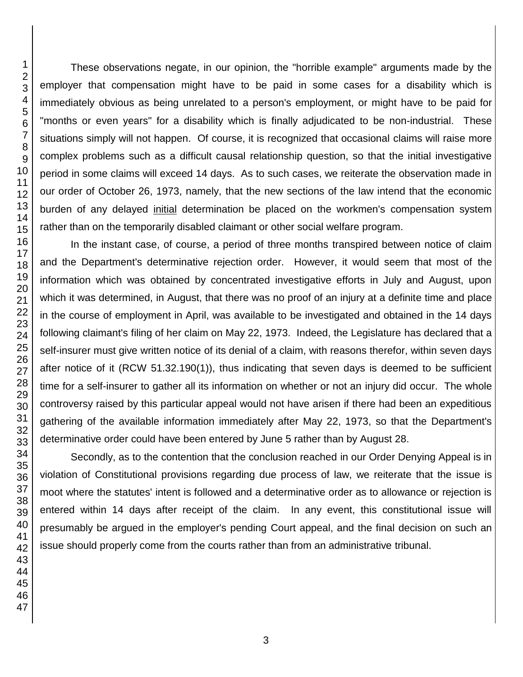These observations negate, in our opinion, the "horrible example" arguments made by the employer that compensation might have to be paid in some cases for a disability which is immediately obvious as being unrelated to a person's employment, or might have to be paid for "months or even years" for a disability which is finally adjudicated to be non-industrial. These situations simply will not happen. Of course, it is recognized that occasional claims will raise more complex problems such as a difficult causal relationship question, so that the initial investigative period in some claims will exceed 14 days. As to such cases, we reiterate the observation made in our order of October 26, 1973, namely, that the new sections of the law intend that the economic burden of any delayed initial determination be placed on the workmen's compensation system rather than on the temporarily disabled claimant or other social welfare program.

In the instant case, of course, a period of three months transpired between notice of claim and the Department's determinative rejection order. However, it would seem that most of the information which was obtained by concentrated investigative efforts in July and August, upon which it was determined, in August, that there was no proof of an injury at a definite time and place in the course of employment in April, was available to be investigated and obtained in the 14 days following claimant's filing of her claim on May 22, 1973. Indeed, the Legislature has declared that a self-insurer must give written notice of its denial of a claim, with reasons therefor, within seven days after notice of it (RCW 51.32.190(1)), thus indicating that seven days is deemed to be sufficient time for a self-insurer to gather all its information on whether or not an injury did occur. The whole controversy raised by this particular appeal would not have arisen if there had been an expeditious gathering of the available information immediately after May 22, 1973, so that the Department's determinative order could have been entered by June 5 rather than by August 28.

Secondly, as to the contention that the conclusion reached in our Order Denying Appeal is in violation of Constitutional provisions regarding due process of law, we reiterate that the issue is moot where the statutes' intent is followed and a determinative order as to allowance or rejection is entered within 14 days after receipt of the claim. In any event, this constitutional issue will presumably be argued in the employer's pending Court appeal, and the final decision on such an issue should properly come from the courts rather than from an administrative tribunal.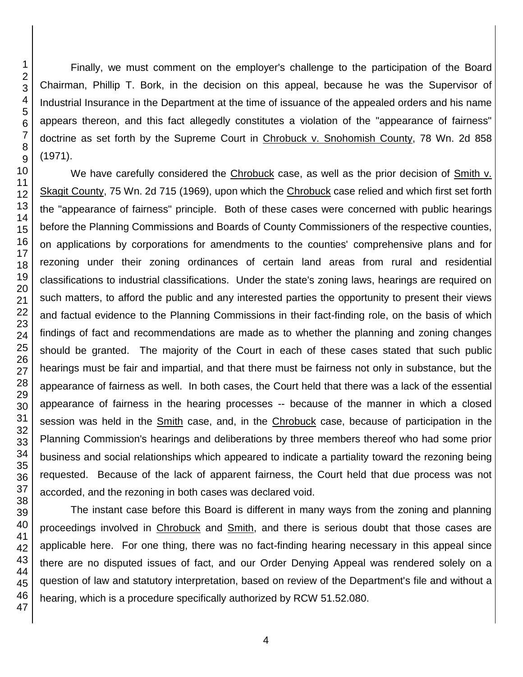Finally, we must comment on the employer's challenge to the participation of the Board Chairman, Phillip T. Bork, in the decision on this appeal, because he was the Supervisor of Industrial Insurance in the Department at the time of issuance of the appealed orders and his name appears thereon, and this fact allegedly constitutes a violation of the "appearance of fairness" doctrine as set forth by the Supreme Court in Chrobuck v. Snohomish County, 78 Wn. 2d 858 (1971).

We have carefully considered the Chrobuck case, as well as the prior decision of Smith v. Skagit County, 75 Wn. 2d 715 (1969), upon which the Chrobuck case relied and which first set forth the "appearance of fairness" principle. Both of these cases were concerned with public hearings before the Planning Commissions and Boards of County Commissioners of the respective counties, on applications by corporations for amendments to the counties' comprehensive plans and for rezoning under their zoning ordinances of certain land areas from rural and residential classifications to industrial classifications. Under the state's zoning laws, hearings are required on such matters, to afford the public and any interested parties the opportunity to present their views and factual evidence to the Planning Commissions in their fact-finding role, on the basis of which findings of fact and recommendations are made as to whether the planning and zoning changes should be granted. The majority of the Court in each of these cases stated that such public hearings must be fair and impartial, and that there must be fairness not only in substance, but the appearance of fairness as well. In both cases, the Court held that there was a lack of the essential appearance of fairness in the hearing processes -- because of the manner in which a closed session was held in the **Smith case**, and, in the **Chrobuck** case, because of participation in the Planning Commission's hearings and deliberations by three members thereof who had some prior business and social relationships which appeared to indicate a partiality toward the rezoning being requested. Because of the lack of apparent fairness, the Court held that due process was not accorded, and the rezoning in both cases was declared void.

The instant case before this Board is different in many ways from the zoning and planning proceedings involved in Chrobuck and Smith, and there is serious doubt that those cases are applicable here. For one thing, there was no fact-finding hearing necessary in this appeal since there are no disputed issues of fact, and our Order Denying Appeal was rendered solely on a question of law and statutory interpretation, based on review of the Department's file and without a hearing, which is a procedure specifically authorized by RCW 51.52.080.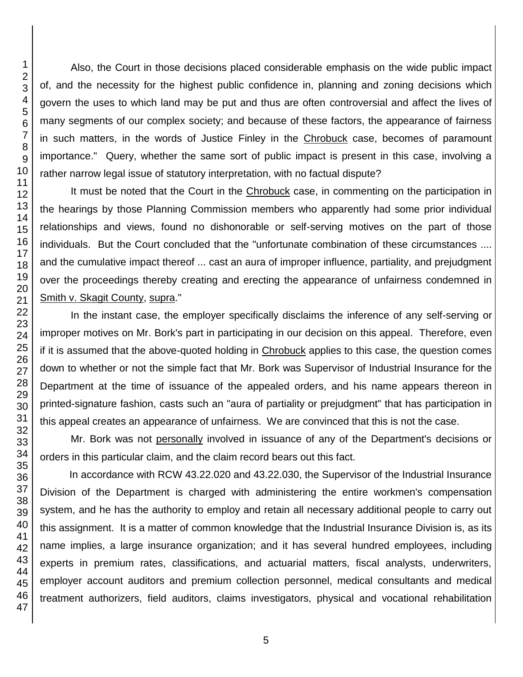Also, the Court in those decisions placed considerable emphasis on the wide public impact of, and the necessity for the highest public confidence in, planning and zoning decisions which govern the uses to which land may be put and thus are often controversial and affect the lives of many segments of our complex society; and because of these factors, the appearance of fairness in such matters, in the words of Justice Finley in the Chrobuck case, becomes of paramount importance." Query, whether the same sort of public impact is present in this case, involving a rather narrow legal issue of statutory interpretation, with no factual dispute?

It must be noted that the Court in the Chrobuck case, in commenting on the participation in the hearings by those Planning Commission members who apparently had some prior individual relationships and views, found no dishonorable or self-serving motives on the part of those individuals. But the Court concluded that the "unfortunate combination of these circumstances .... and the cumulative impact thereof ... cast an aura of improper influence, partiality, and prejudgment over the proceedings thereby creating and erecting the appearance of unfairness condemned in Smith v. Skagit County, supra."

In the instant case, the employer specifically disclaims the inference of any self-serving or improper motives on Mr. Bork's part in participating in our decision on this appeal. Therefore, even if it is assumed that the above-quoted holding in Chrobuck applies to this case, the question comes down to whether or not the simple fact that Mr. Bork was Supervisor of Industrial Insurance for the Department at the time of issuance of the appealed orders, and his name appears thereon in printed-signature fashion, casts such an "aura of partiality or prejudgment" that has participation in this appeal creates an appearance of unfairness. We are convinced that this is not the case.

Mr. Bork was not personally involved in issuance of any of the Department's decisions or orders in this particular claim, and the claim record bears out this fact.

In accordance with RCW 43.22.020 and 43.22.030, the Supervisor of the Industrial Insurance Division of the Department is charged with administering the entire workmen's compensation system, and he has the authority to employ and retain all necessary additional people to carry out this assignment. It is a matter of common knowledge that the Industrial Insurance Division is, as its name implies, a large insurance organization; and it has several hundred employees, including experts in premium rates, classifications, and actuarial matters, fiscal analysts, underwriters, employer account auditors and premium collection personnel, medical consultants and medical treatment authorizers, field auditors, claims investigators, physical and vocational rehabilitation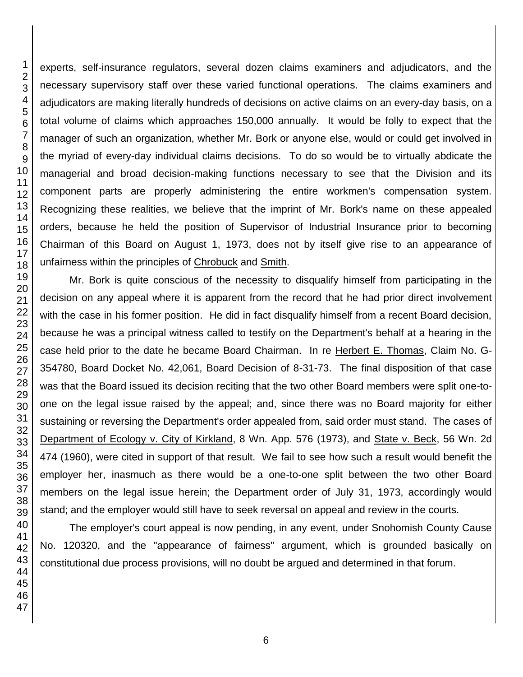experts, self-insurance regulators, several dozen claims examiners and adjudicators, and the necessary supervisory staff over these varied functional operations. The claims examiners and adjudicators are making literally hundreds of decisions on active claims on an every-day basis, on a total volume of claims which approaches 150,000 annually. It would be folly to expect that the manager of such an organization, whether Mr. Bork or anyone else, would or could get involved in the myriad of every-day individual claims decisions. To do so would be to virtually abdicate the managerial and broad decision-making functions necessary to see that the Division and its component parts are properly administering the entire workmen's compensation system. Recognizing these realities, we believe that the imprint of Mr. Bork's name on these appealed orders, because he held the position of Supervisor of Industrial Insurance prior to becoming Chairman of this Board on August 1, 1973, does not by itself give rise to an appearance of unfairness within the principles of Chrobuck and Smith.

Mr. Bork is quite conscious of the necessity to disqualify himself from participating in the decision on any appeal where it is apparent from the record that he had prior direct involvement with the case in his former position. He did in fact disqualify himself from a recent Board decision, because he was a principal witness called to testify on the Department's behalf at a hearing in the case held prior to the date he became Board Chairman. In re Herbert E. Thomas, Claim No. G-354780, Board Docket No. 42,061, Board Decision of 8-31-73. The final disposition of that case was that the Board issued its decision reciting that the two other Board members were split one-toone on the legal issue raised by the appeal; and, since there was no Board majority for either sustaining or reversing the Department's order appealed from, said order must stand. The cases of Department of Ecology v. City of Kirkland, 8 Wn. App. 576 (1973), and State v. Beck, 56 Wn. 2d 474 (1960), were cited in support of that result. We fail to see how such a result would benefit the employer her, inasmuch as there would be a one-to-one split between the two other Board members on the legal issue herein; the Department order of July 31, 1973, accordingly would stand; and the employer would still have to seek reversal on appeal and review in the courts.

The employer's court appeal is now pending, in any event, under Snohomish County Cause No. 120320, and the "appearance of fairness" argument, which is grounded basically on constitutional due process provisions, will no doubt be argued and determined in that forum.